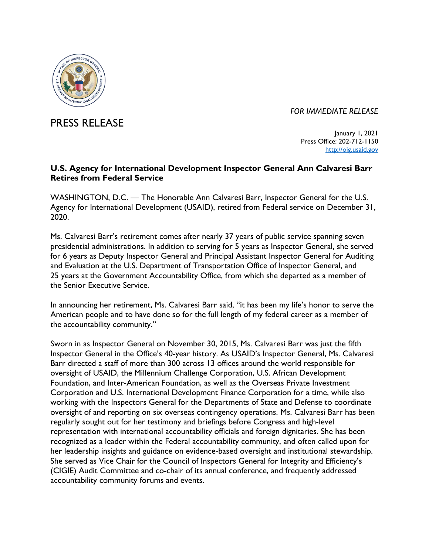

*FOR IMMEDIATE RELEASE*

PRESS RELEASE

January 1, 2021 Press Office: 202-712-1150 [http://oig.usaid.gov](http://oig.usaid.gov/)

## **U.S. Agency for International Development Inspector General Ann Calvaresi Barr Retires from Federal Service**

WASHINGTON, D.C. — The Honorable Ann Calvaresi Barr, Inspector General for the U.S. Agency for International Development (USAID), retired from Federal service on December 31, 2020.

Ms. Calvaresi Barr's retirement comes after nearly 37 years of public service spanning seven presidential administrations. In addition to serving for 5 years as Inspector General, she served for 6 years as Deputy Inspector General and Principal Assistant Inspector General for Auditing and Evaluation at the U.S. Department of Transportation Office of Inspector General, and 25 years at the Government Accountability Office, from which she departed as a member of the Senior Executive Service.

In announcing her retirement, Ms. Calvaresi Barr said, "it has been my life's honor to serve the American people and to have done so for the full length of my federal career as a member of the accountability community."

Sworn in as Inspector General on November 30, 2015, Ms. Calvaresi Barr was just the fifth Inspector General in the Office's 40-year history. As USAID's Inspector General, Ms. Calvaresi Barr directed a staff of more than 300 across 13 offices around the world responsible for oversight of USAID, the Millennium Challenge Corporation, U.S. African Development Foundation, and Inter-American Foundation, as well as the Overseas Private Investment Corporation and U.S. International Development Finance Corporation for a time, while also working with the Inspectors General for the Departments of State and Defense to coordinate oversight of and reporting on six overseas contingency operations. Ms. Calvaresi Barr has been regularly sought out for her testimony and briefings before Congress and high-level representation with international accountability officials and foreign dignitaries. She has been recognized as a leader within the Federal accountability community, and often called upon for her leadership insights and guidance on evidence-based oversight and institutional stewardship. She served as Vice Chair for the Council of Inspectors General for Integrity and Efficiency's (CIGIE) Audit Committee and co-chair of its annual conference, and frequently addressed accountability community forums and events.